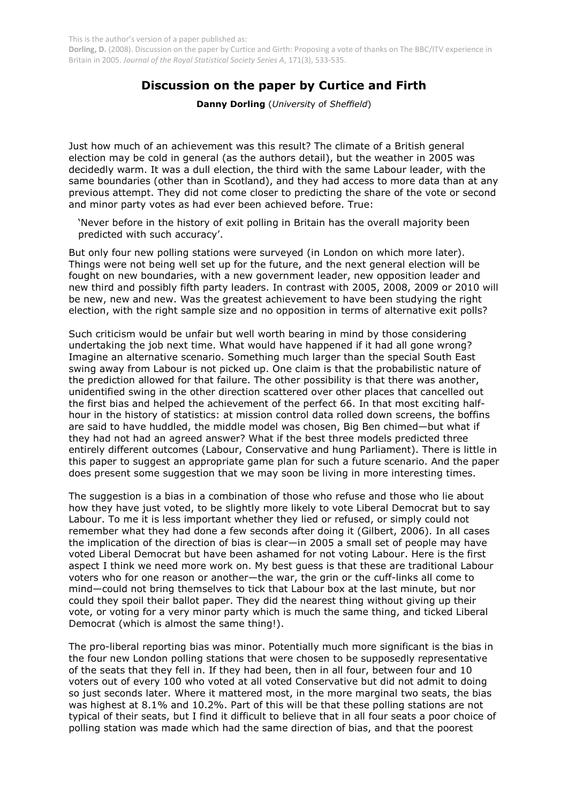## **Discussion on the paper by Curtice and Firth**

**Danny Dorling** (*Universit*y *o*f *Sheffield*)

Just how much of an achievement was this result? The climate of a British general election may be cold in general (as the authors detail), but the weather in 2005 was decidedly warm. It was a dull election, the third with the same Labour leader, with the same boundaries (other than in Scotland), and they had access to more data than at any previous attempt. They did not come closer to predicting the share of the vote or second and minor party votes as had ever been achieved before. True:

'Never before in the history of exit polling in Britain has the overall majority been predicted with such accuracy'.

But only four new polling stations were surveyed (in London on which more later). Things were not being well set up for the future, and the next general election will be fought on new boundaries, with a new government leader, new opposition leader and new third and possibly fifth party leaders. In contrast with 2005, 2008, 2009 or 2010 will be new, new and new. Was the greatest achievement to have been studying the right election, with the right sample size and no opposition in terms of alternative exit polls?

Such criticism would be unfair but well worth bearing in mind by those considering undertaking the job next time. What would have happened if it had all gone wrong? Imagine an alternative scenario. Something much larger than the special South East swing away from Labour is not picked up. One claim is that the probabilistic nature of the prediction allowed for that failure. The other possibility is that there was another, unidentified swing in the other direction scattered over other places that cancelled out the first bias and helped the achievement of the perfect 66. In that most exciting halfhour in the history of statistics: at mission control data rolled down screens, the boffins are said to have huddled, the middle model was chosen, Big Ben chimed—but what if they had not had an agreed answer? What if the best three models predicted three entirely different outcomes (Labour, Conservative and hung Parliament). There is little in this paper to suggest an appropriate game plan for such a future scenario. And the paper does present some suggestion that we may soon be living in more interesting times.

The suggestion is a bias in a combination of those who refuse and those who lie about how they have just voted, to be slightly more likely to vote Liberal Democrat but to say Labour. To me it is less important whether they lied or refused, or simply could not remember what they had done a few seconds after doing it (Gilbert, 2006). In all cases the implication of the direction of bias is clear—in 2005 a small set of people may have voted Liberal Democrat but have been ashamed for not voting Labour. Here is the first aspect I think we need more work on. My best guess is that these are traditional Labour voters who for one reason or another—the war, the grin or the cuff-links all come to mind—could not bring themselves to tick that Labour box at the last minute, but nor could they spoil their ballot paper. They did the nearest thing without giving up their vote, or voting for a very minor party which is much the same thing, and ticked Liberal Democrat (which is almost the same thing!).

The pro-liberal reporting bias was minor. Potentially much more significant is the bias in the four new London polling stations that were chosen to be supposedly representative of the seats that they fell in. If they had been, then in all four, between four and 10 voters out of every 100 who voted at all voted Conservative but did not admit to doing so just seconds later. Where it mattered most, in the more marginal two seats, the bias was highest at 8.1% and 10.2%. Part of this will be that these polling stations are not typical of their seats, but I find it difficult to believe that in all four seats a poor choice of polling station was made which had the same direction of bias, and that the poorest